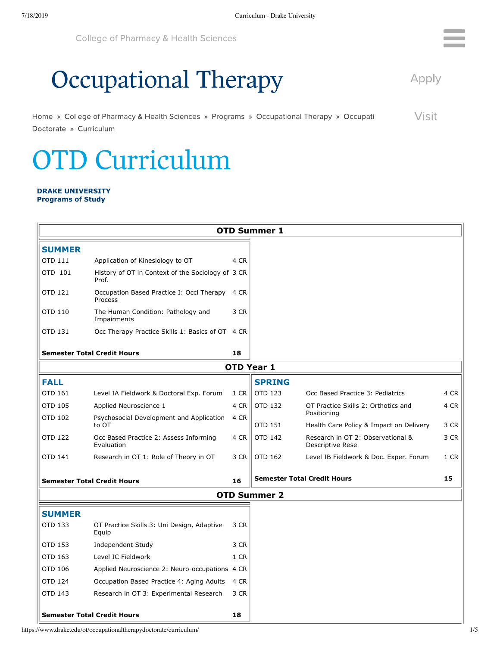**College of Pharmacy & Health Sciences** 

## **Occupational Therapy**

Apply

R

Visit Home » College of Pharmacy & Health Sciences » Programs » Occupational Therapy » Occupati Doctorate » Curriculum

## **OTD Curriculum**

## **DRAKE UNIVERSITY Programs of Study**

| <b>OTD Summer 1</b>                |                                                            |      |                                    |                                                       |      |  |  |  |  |  |  |
|------------------------------------|------------------------------------------------------------|------|------------------------------------|-------------------------------------------------------|------|--|--|--|--|--|--|
| <b>SUMMER</b>                      |                                                            |      |                                    |                                                       |      |  |  |  |  |  |  |
| OTD 111                            | Application of Kinesiology to OT                           | 4 CR |                                    |                                                       |      |  |  |  |  |  |  |
| OTD 101                            | History of OT in Context of the Sociology of 3 CR<br>Prof. |      |                                    |                                                       |      |  |  |  |  |  |  |
| OTD 121                            | Occupation Based Practice I: Occl Therapy<br>Process       | 4 CR |                                    |                                                       |      |  |  |  |  |  |  |
| OTD 110                            | The Human Condition: Pathology and<br>Impairments          | 3 CR |                                    |                                                       |      |  |  |  |  |  |  |
| OTD 131                            | Occ Therapy Practice Skills 1: Basics of OT 4 CR           |      |                                    |                                                       |      |  |  |  |  |  |  |
|                                    | <b>Semester Total Credit Hours</b>                         | 18   |                                    |                                                       |      |  |  |  |  |  |  |
| <b>OTD Year 1</b>                  |                                                            |      |                                    |                                                       |      |  |  |  |  |  |  |
| <b>FALL</b>                        |                                                            |      | <b>SPRING</b>                      |                                                       |      |  |  |  |  |  |  |
| OTD 161                            | Level IA Fieldwork & Doctoral Exp. Forum                   | 1 CR | OTD 123                            | Occ Based Practice 3: Pediatrics                      | 4 CR |  |  |  |  |  |  |
| OTD 105                            | Applied Neuroscience 1                                     | 4 CR | OTD 132                            | OT Practice Skills 2: Orthotics and<br>Positioning    | 4 CR |  |  |  |  |  |  |
| OTD 102                            | Psychosocial Development and Application<br>to OT          | 4 CR | OTD 151                            | Health Care Policy & Impact on Delivery               | 3 CR |  |  |  |  |  |  |
| OTD 122                            | Occ Based Practice 2: Assess Informing<br>Evaluation       | 4 CR | <b>OTD 142</b>                     | Research in OT 2: Observational &<br>Descriptive Rese | 3 CR |  |  |  |  |  |  |
| OTD 141                            | Research in OT 1: Role of Theory in OT                     | 3 CR | OTD 162                            | Level IB Fieldwork & Doc. Exper. Forum                | 1 CR |  |  |  |  |  |  |
| <b>Semester Total Credit Hours</b> |                                                            | 16   | <b>Semester Total Credit Hours</b> |                                                       | 15   |  |  |  |  |  |  |
|                                    |                                                            |      | <b>OTD Summer 2</b>                |                                                       |      |  |  |  |  |  |  |
| <b>SUMMER</b>                      |                                                            |      |                                    |                                                       |      |  |  |  |  |  |  |
| OTD 133                            | OT Practice Skills 3: Uni Design, Adaptive<br>Equip        | 3 CR |                                    |                                                       |      |  |  |  |  |  |  |
| OTD 153                            | Independent Study                                          | 3 CR |                                    |                                                       |      |  |  |  |  |  |  |
| OTD 163                            | Level IC Fieldwork                                         | 1 CR |                                    |                                                       |      |  |  |  |  |  |  |
| OTD 106                            | Applied Neuroscience 2: Neuro-occupations 4 CR             |      |                                    |                                                       |      |  |  |  |  |  |  |
| OTD 124                            | Occupation Based Practice 4: Aging Adults                  | 4 CR |                                    |                                                       |      |  |  |  |  |  |  |
| OTD 143                            | Research in OT 3: Experimental Research                    | 3 CR |                                    |                                                       |      |  |  |  |  |  |  |
| <b>Semester Total Credit Hours</b> |                                                            | 18   |                                    |                                                       |      |  |  |  |  |  |  |

https://www.drake.edu/ot/occupationaltherapydoctorate/curriculum/ 1/5